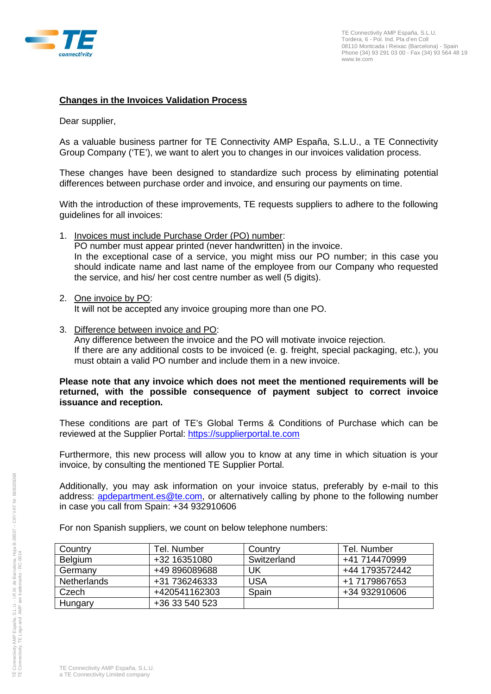

## **Changes in the Invoices Validation Process**

Dear supplier,

As a valuable business partner for TE Connectivity AMP España, S.L.U., a TE Connectivity Group Company ('TE'), we want to alert you to changes in our invoices validation process.

These changes have been designed to standardize such process by eliminating potential differences between purchase order and invoice, and ensuring our payments on time.

With the introduction of these improvements, TE requests suppliers to adhere to the following guidelines for all invoices:

- 1. Invoices must include Purchase Order (PO) number: PO number must appear printed (never handwritten) in the invoice. In the exceptional case of a service, you might miss our PO number; in this case you should indicate name and last name of the employee from our Company who requested the service, and his/ her cost centre number as well (5 digits).
- 2. One invoice by PO:

It will not be accepted any invoice grouping more than one PO.

3. Difference between invoice and PO: Any difference between the invoice and the PO will motivate invoice rejection. If there are any additional costs to be invoiced (e. g. freight, special packaging, etc.), you must obtain a valid PO number and include them in a new invoice.

## **Please note that any invoice which does not meet the mentioned requirements will be returned, with the possible consequence of payment subject to correct invoice issuance and reception.**

These conditions are part of TE's Global Terms & Conditions of Purchase which can be reviewed at the Supplier Portal: [https://supplierportal.te.com](https://supplierportal.te.com/)

Furthermore, this new process will allow you to know at any time in which situation is your invoice, by consulting the mentioned TE Supplier Portal.

Additionally, you may ask information on your invoice status, preferably by e-mail to this address: [apdepartment.es@te.com,](mailto:apdepartment.es@te.com) or alternatively calling by phone to the following number in case you call from Spain: +34 932910606

For non Spanish suppliers, we count on below telephone numbers:

| Country            | Tel. Number    | Country     | Tel. Number    |
|--------------------|----------------|-------------|----------------|
| Belgium            | +32 16351080   | Switzerland | +41 714470999  |
| Germany            | +49 896089688  | UK          | +44 1793572442 |
| <b>Netherlands</b> | +31 736246333  | <b>USA</b>  | +1 7179867653  |
| Czech              | +420541162303  | Spain       | +34 932910606  |
| Hungary            | +36 33 540 523 |             |                |